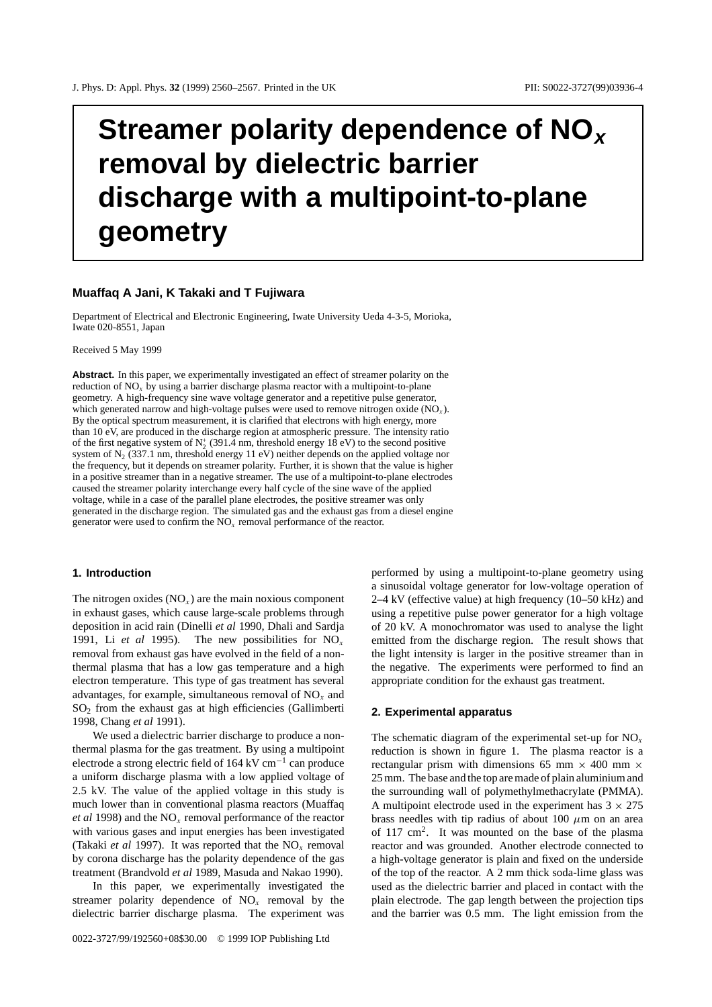# **Streamer polarity dependence of NO<sup>x</sup> removal by dielectric barrier discharge with a multipoint-to-plane geometry**

## **Muaffaq A Jani, K Takaki and T Fujiwara**

Department of Electrical and Electronic Engineering, Iwate University Ueda 4-3-5, Morioka, Iwate 020-8551, Japan

Received 5 May 1999

**Abstract.** In this paper, we experimentally investigated an effect of streamer polarity on the reduction of  $NO<sub>x</sub>$  by using a barrier discharge plasma reactor with a multipoint-to-plane geometry. A high-frequency sine wave voltage generator and a repetitive pulse generator, which generated narrow and high-voltage pulses were used to remove nitrogen oxide (NO*<sup>x</sup>* ). By the optical spectrum measurement, it is clarified that electrons with high energy, more than 10 eV, are produced in the discharge region at atmospheric pressure. The intensity ratio of the first negative system of  $N_2^+$  (391.4 nm, threshold energy 18 eV) to the second positive system of  $N_2$  (337.1 nm, threshold energy 11 eV) neither depends on the applied voltage nor the frequency, but it depends on streamer polarity. Further, it is shown that the value is higher in a positive streamer than in a negative streamer. The use of a multipoint-to-plane electrodes caused the streamer polarity interchange every half cycle of the sine wave of the applied voltage, while in a case of the parallel plane electrodes, the positive streamer was only generated in the discharge region. The simulated gas and the exhaust gas from a diesel engine generator were used to confirm the NO*<sup>x</sup>* removal performance of the reactor.

## **1. Introduction**

The nitrogen oxides  $(NO<sub>x</sub>)$  are the main noxious component in exhaust gases, which cause large-scale problems through deposition in acid rain (Dinelli *et al* 1990, Dhali and Sardja 1991, Li *et al* 1995). The new possibilities for  $NO_x$ removal from exhaust gas have evolved in the field of a nonthermal plasma that has a low gas temperature and a high electron temperature. This type of gas treatment has several advantages, for example, simultaneous removal of  $NO<sub>x</sub>$  and  $SO<sub>2</sub>$  from the exhaust gas at high efficiencies (Gallimberti 1998, Chang *et al* 1991).

We used a dielectric barrier discharge to produce a nonthermal plasma for the gas treatment. By using a multipoint electrode a strong electric field of 164 kV cm<sup>-1</sup> can produce a uniform discharge plasma with a low applied voltage of 2.5 kV. The value of the applied voltage in this study is much lower than in conventional plasma reactors (Muaffaq *et al* 1998) and the NO*<sup>x</sup>* removal performance of the reactor with various gases and input energies has been investigated (Takaki *et al* 1997). It was reported that the NO*<sup>x</sup>* removal by corona discharge has the polarity dependence of the gas treatment (Brandvold *et al* 1989, Masuda and Nakao 1990).

In this paper, we experimentally investigated the streamer polarity dependence of  $NO<sub>x</sub>$  removal by the dielectric barrier discharge plasma. The experiment was performed by using a multipoint-to-plane geometry using a sinusoidal voltage generator for low-voltage operation of 2–4 kV (effective value) at high frequency (10–50 kHz) and using a repetitive pulse power generator for a high voltage of 20 kV. A monochromator was used to analyse the light emitted from the discharge region. The result shows that the light intensity is larger in the positive streamer than in the negative. The experiments were performed to find an appropriate condition for the exhaust gas treatment.

#### **2. Experimental apparatus**

The schematic diagram of the experimental set-up for NO*<sup>x</sup>* reduction is shown in figure 1. The plasma reactor is a rectangular prism with dimensions 65 mm  $\times$  400 mm  $\times$ 25 mm. The base and the top are made of plain aluminium and the surrounding wall of polymethylmethacrylate (PMMA). A multipoint electrode used in the experiment has  $3 \times 275$ brass needles with tip radius of about 100 *µ*m on an area of 117 cm2. It was mounted on the base of the plasma reactor and was grounded. Another electrode connected to a high-voltage generator is plain and fixed on the underside of the top of the reactor. A 2 mm thick soda-lime glass was used as the dielectric barrier and placed in contact with the plain electrode. The gap length between the projection tips and the barrier was 0.5 mm. The light emission from the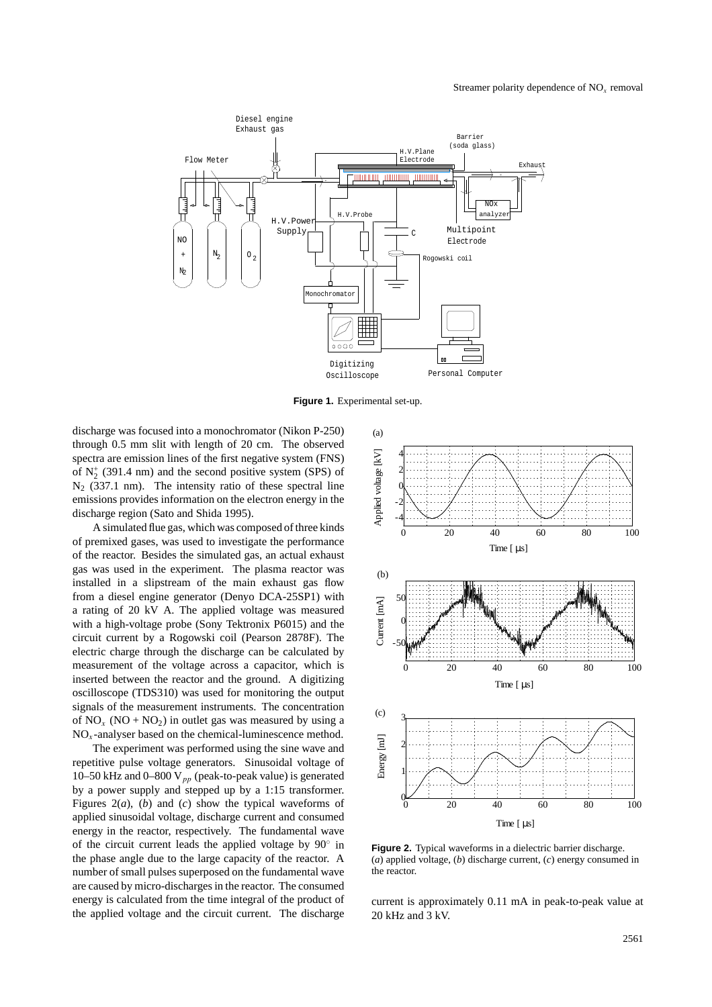

**Figure 1.** Experimental set-up.

discharge was focused into a monochromator (Nikon P-250) through 0.5 mm slit with length of 20 cm. The observed spectra are emission lines of the first negative system (FNS) of  $N_2^+$  (391.4 nm) and the second positive system (SPS) of  $N<sub>2</sub>$  (337.1 nm). The intensity ratio of these spectral line emissions provides information on the electron energy in the discharge region (Sato and Shida 1995).

A simulated flue gas, which was composed of three kinds of premixed gases, was used to investigate the performance of the reactor. Besides the simulated gas, an actual exhaust gas was used in the experiment. The plasma reactor was installed in a slipstream of the main exhaust gas flow from a diesel engine generator (Denyo DCA-25SP1) with a rating of 20 kV A. The applied voltage was measured with a high-voltage probe (Sony Tektronix P6015) and the circuit current by a Rogowski coil (Pearson 2878F). The electric charge through the discharge can be calculated by measurement of the voltage across a capacitor, which is inserted between the reactor and the ground. A digitizing oscilloscope (TDS310) was used for monitoring the output signals of the measurement instruments. The concentration of  $NO<sub>x</sub>$  ( $NO + NO<sub>2</sub>$ ) in outlet gas was measured by using a  $NO<sub>x</sub>$ -analyser based on the chemical-luminescence method.

The experiment was performed using the sine wave and repetitive pulse voltage generators. Sinusoidal voltage of 10–50 kHz and 0–800 V*pp* (peak-to-peak value) is generated by a power supply and stepped up by a 1:15 transformer. Figures 2(*a*), (*b*) and (*c*) show the typical waveforms of applied sinusoidal voltage, discharge current and consumed energy in the reactor, respectively. The fundamental wave of the circuit current leads the applied voltage by 90◦ in the phase angle due to the large capacity of the reactor. A number of small pulses superposed on the fundamental wave are caused by micro-discharges in the reactor. The consumed energy is calculated from the time integral of the product of the applied voltage and the circuit current. The discharge



**Figure 2.** Typical waveforms in a dielectric barrier discharge. (*a*) applied voltage, (*b*) discharge current, (*c*) energy consumed in the reactor.

current is approximately 0.11 mA in peak-to-peak value at 20 kHz and 3 kV.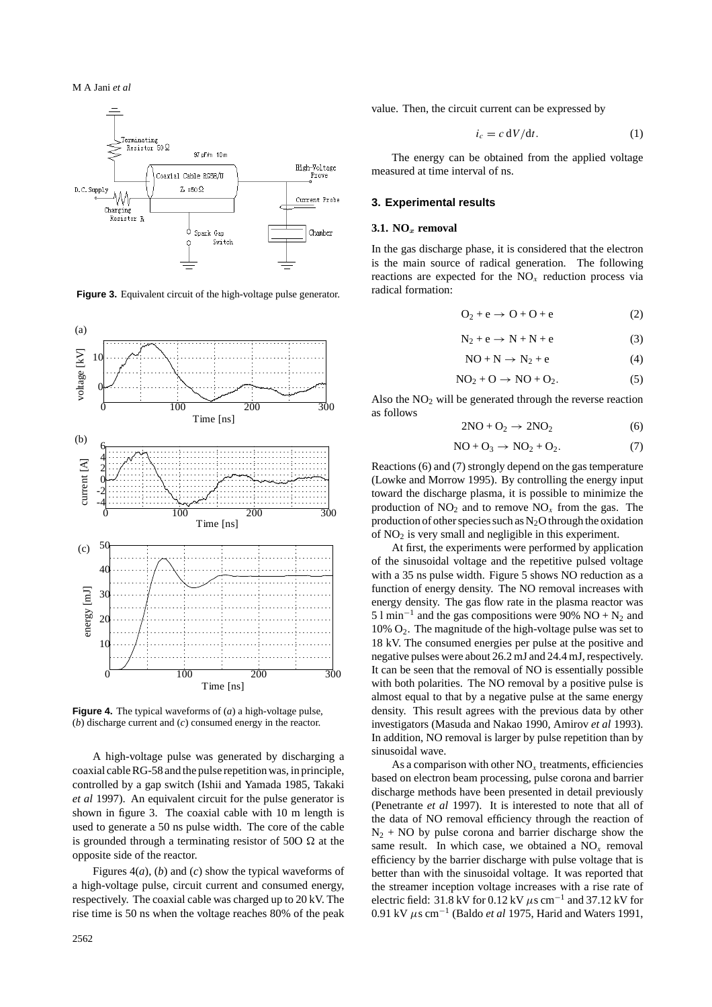





**Figure 4.** The typical waveforms of (*a*) a high-voltage pulse, (*b*) discharge current and (*c*) consumed energy in the reactor.

A high-voltage pulse was generated by discharging a coaxial cable RG-58 and the pulse repetition was, in principle, controlled by a gap switch (Ishii and Yamada 1985, Takaki *et al* 1997). An equivalent circuit for the pulse generator is shown in figure 3. The coaxial cable with 10 m length is used to generate a 50 ns pulse width. The core of the cable is grounded through a terminating resistor of 500  $\Omega$  at the opposite side of the reactor.

Figures 4(*a*), (*b*) and (*c*) show the typical waveforms of a high-voltage pulse, circuit current and consumed energy, respectively. The coaxial cable was charged up to 20 kV. The rise time is 50 ns when the voltage reaches 80% of the peak

value. Then, the circuit current can be expressed by

$$
i_c = c \, \mathrm{d}V/\mathrm{d}t. \tag{1}
$$

The energy can be obtained from the applied voltage measured at time interval of ns.

## **3. Experimental results**

#### **3.1. NO***<sup>x</sup>* **removal**

In the gas discharge phase, it is considered that the electron is the main source of radical generation. The following reactions are expected for the  $NO<sub>x</sub>$  reduction process via radical formation:

$$
O_2 + e \rightarrow O + O + e \tag{2}
$$

$$
N_2 + e \rightarrow N + N + e \tag{3}
$$

$$
NO + N \rightarrow N_2 + e
$$
 (4)

$$
NO_2 + O \rightarrow NO + O_2. \tag{5}
$$

Also the  $NO<sub>2</sub>$  will be generated through the reverse reaction as follows

$$
2NO + O_2 \rightarrow 2NO_2 \tag{6}
$$

$$
NO + O_3 \rightarrow NO_2 + O_2. \tag{7}
$$

Reactions (6) and (7) strongly depend on the gas temperature (Lowke and Morrow 1995). By controlling the energy input toward the discharge plasma, it is possible to minimize the production of  $NO_2$  and to remove  $NO_x$  from the gas. The production of other species such as  $N_2O$  through the oxidation of  $NO<sub>2</sub>$  is very small and negligible in this experiment.

At first, the experiments were performed by application of the sinusoidal voltage and the repetitive pulsed voltage with a 35 ns pulse width. Figure 5 shows NO reduction as a function of energy density. The NO removal increases with energy density. The gas flow rate in the plasma reactor was 5 l min<sup>-1</sup> and the gas compositions were 90% NO +  $N_2$  and 10% O2. The magnitude of the high-voltage pulse was set to 18 kV. The consumed energies per pulse at the positive and negative pulses were about 26.2 mJ and 24.4 mJ, respectively. It can be seen that the removal of NO is essentially possible with both polarities. The NO removal by a positive pulse is almost equal to that by a negative pulse at the same energy density. This result agrees with the previous data by other investigators (Masuda and Nakao 1990, Amirov *et al* 1993). In addition, NO removal is larger by pulse repetition than by sinusoidal wave.

As a comparison with other  $NO<sub>x</sub>$  treatments, efficiencies based on electron beam processing, pulse corona and barrier discharge methods have been presented in detail previously (Penetrante *et al* 1997). It is interested to note that all of the data of NO removal efficiency through the reaction of  $N_2$  + NO by pulse corona and barrier discharge show the same result. In which case, we obtained a  $NO<sub>x</sub>$  removal efficiency by the barrier discharge with pulse voltage that is better than with the sinusoidal voltage. It was reported that the streamer inception voltage increases with a rise rate of electric field: 31.8 kV for 0.12 kV *µ*s cm−<sup>1</sup> and 37.12 kV for 0.91 kV *µ*s cm−<sup>1</sup> (Baldo *et al* 1975, Harid and Waters 1991,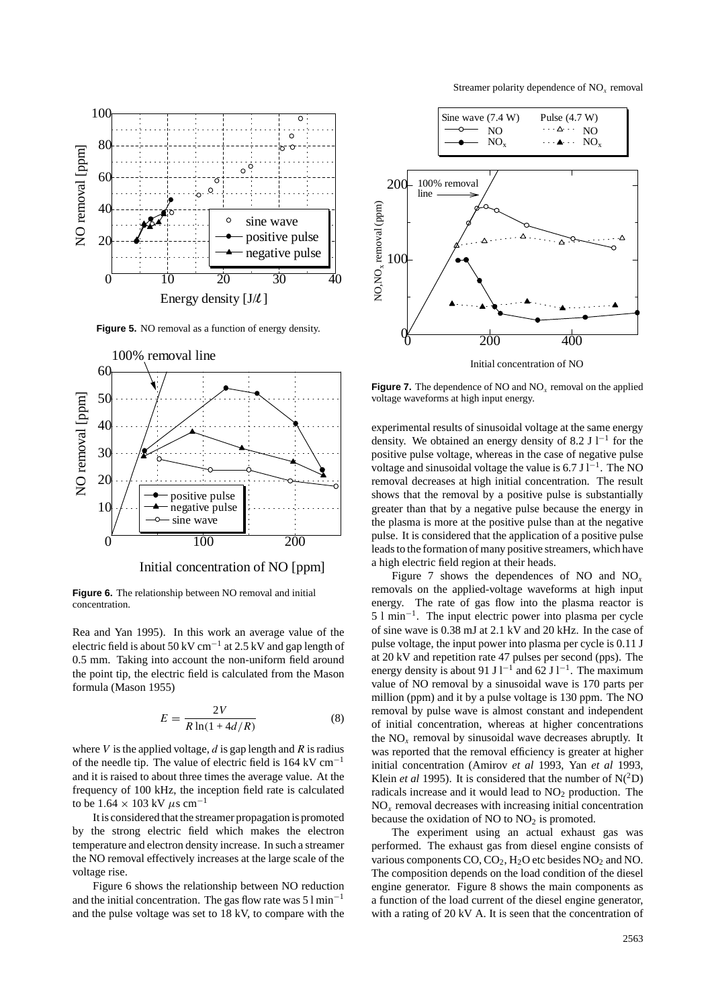Streamer polarity dependence of NO*<sup>x</sup>* removal



Figure 5. NO removal as a function of energy density.



Initial concentration of NO [ppm]

**Figure 6.** The relationship between NO removal and initial concentration.

Rea and Yan 1995). In this work an average value of the electric field is about 50 kV cm<sup>-1</sup> at 2.5 kV and gap length of 0.5 mm. Taking into account the non-uniform field around the point tip, the electric field is calculated from the Mason formula (Mason 1955)

$$
E = \frac{2V}{R\ln(1 + 4d/R)}\tag{8}
$$

where *V* is the applied voltage, *d* is gap length and *R* is radius of the needle tip. The value of electric field is  $164 \text{ kV cm}^{-1}$ and it is raised to about three times the average value. At the frequency of 100 kHz, the inception field rate is calculated to be 1*.*<sup>64</sup> <sup>×</sup> 103 kV *<sup>µ</sup>*s cm−<sup>1</sup>

It is considered that the streamer propagation is promoted by the strong electric field which makes the electron temperature and electron density increase. In such a streamer the NO removal effectively increases at the large scale of the voltage rise.

Figure 6 shows the relationship between NO reduction and the initial concentration. The gas flow rate was  $51 \text{min}^{-1}$ and the pulse voltage was set to 18 kV, to compare with the



**Figure 7.** The dependence of NO and NO*<sup>x</sup>* removal on the applied voltage waveforms at high input energy.

experimental results of sinusoidal voltage at the same energy density. We obtained an energy density of 8.2 J  $l^{-1}$  for the positive pulse voltage, whereas in the case of negative pulse voltage and sinusoidal voltage the value is 6.7 J l<sup>-1</sup>. The NO removal decreases at high initial concentration. The result shows that the removal by a positive pulse is substantially greater than that by a negative pulse because the energy in the plasma is more at the positive pulse than at the negative pulse. It is considered that the application of a positive pulse leads to the formation of many positive streamers, which have a high electric field region at their heads.

Figure 7 shows the dependences of NO and  $NO<sub>x</sub>$ removals on the applied-voltage waveforms at high input energy. The rate of gas flow into the plasma reactor is 5 l min−1. The input electric power into plasma per cycle of sine wave is 0.38 mJ at 2.1 kV and 20 kHz. In the case of pulse voltage, the input power into plasma per cycle is 0.11 J at 20 kV and repetition rate 47 pulses per second (pps). The energy density is about 91 J l<sup>-1</sup> and 62 J l<sup>-1</sup>. The maximum value of NO removal by a sinusoidal wave is 170 parts per million (ppm) and it by a pulse voltage is 130 ppm. The NO removal by pulse wave is almost constant and independent of initial concentration, whereas at higher concentrations the  $NO<sub>x</sub>$  removal by sinusoidal wave decreases abruptly. It was reported that the removal efficiency is greater at higher initial concentration (Amirov *et al* 1993, Yan *et al* 1993, Klein *et al* 1995). It is considered that the number of  $N(^2D)$ radicals increase and it would lead to  $NO<sub>2</sub>$  production. The NO*<sup>x</sup>* removal decreases with increasing initial concentration because the oxidation of NO to  $NO<sub>2</sub>$  is promoted.

The experiment using an actual exhaust gas was performed. The exhaust gas from diesel engine consists of various components  $CO$ ,  $CO<sub>2</sub>$ ,  $H<sub>2</sub>O$  etc besides  $NO<sub>2</sub>$  and NO. The composition depends on the load condition of the diesel engine generator. Figure 8 shows the main components as a function of the load current of the diesel engine generator, with a rating of 20 kV A. It is seen that the concentration of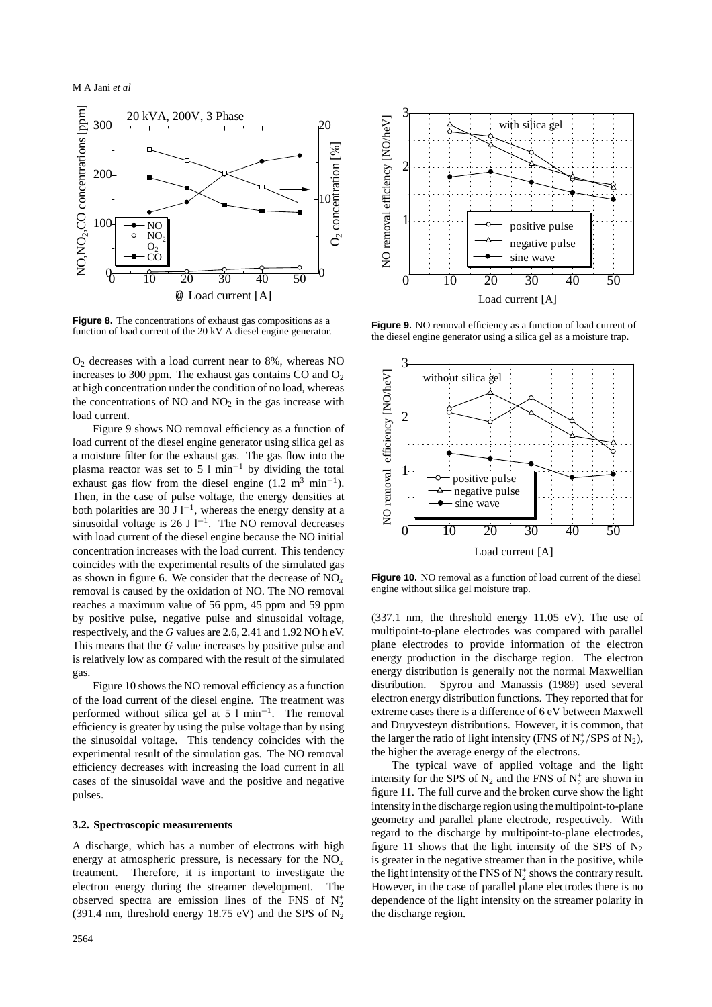

**Figure 8.** The concentrations of exhaust gas compositions as a function of load current of the 20 kV A diesel engine generator.

 $O<sub>2</sub>$  decreases with a load current near to 8%, whereas NO increases to 300 ppm. The exhaust gas contains  $CO$  and  $O<sub>2</sub>$ at high concentration under the condition of no load, whereas the concentrations of  $NO$  and  $NO<sub>2</sub>$  in the gas increase with load current.

Figure 9 shows NO removal efficiency as a function of load current of the diesel engine generator using silica gel as a moisture filter for the exhaust gas. The gas flow into the plasma reactor was set to 5 l min−<sup>1</sup> by dividing the total exhaust gas flow from the diesel engine (1.2 m<sup>3</sup> min<sup>-1</sup>). Then, in the case of pulse voltage, the energy densities at both polarities are 30 J  $l^{-1}$ , whereas the energy density at a sinusoidal voltage is 26 J l<sup>-1</sup>. The NO removal decreases with load current of the diesel engine because the NO initial concentration increases with the load current. This tendency coincides with the experimental results of the simulated gas as shown in figure 6. We consider that the decrease of NO*<sup>x</sup>* removal is caused by the oxidation of NO. The NO removal reaches a maximum value of 56 ppm, 45 ppm and 59 ppm by positive pulse, negative pulse and sinusoidal voltage, respectively, and the *G* values are 2.6, 2.41 and 1.92 NO h eV. This means that the *G* value increases by positive pulse and is relatively low as compared with the result of the simulated gas.

Figure 10 shows the NO removal efficiency as a function of the load current of the diesel engine. The treatment was performed without silica gel at 5 l min−1. The removal efficiency is greater by using the pulse voltage than by using the sinusoidal voltage. This tendency coincides with the experimental result of the simulation gas. The NO removal efficiency decreases with increasing the load current in all cases of the sinusoidal wave and the positive and negative pulses.

#### **3.2. Spectroscopic measurements**

A discharge, which has a number of electrons with high energy at atmospheric pressure, is necessary for the NO*<sup>x</sup>* treatment. Therefore, it is important to investigate the electron energy during the streamer development. The observed spectra are emission lines of the FNS of  $N_2^+$ (391.4 nm, threshold energy 18.75 eV) and the SPS of  $N_2$ 



**Figure 9.** NO removal efficiency as a function of load current of the diesel engine generator using a silica gel as a moisture trap.



**Figure 10.** NO removal as a function of load current of the diesel engine without silica gel moisture trap.

(337.1 nm, the threshold energy 11.05 eV). The use of multipoint-to-plane electrodes was compared with parallel plane electrodes to provide information of the electron energy production in the discharge region. The electron energy distribution is generally not the normal Maxwellian distribution. Spyrou and Manassis (1989) used several electron energy distribution functions. They reported that for extreme cases there is a difference of 6 eV between Maxwell and Druyvesteyn distributions. However, it is common, that the larger the ratio of light intensity (FNS of  $N_2^+/SPS$  of  $N_2$ ), the higher the average energy of the electrons.

The typical wave of applied voltage and the light intensity for the SPS of  $N_2$  and the FNS of  $N_2^+$  are shown in figure 11. The full curve and the broken curve show the light intensity in the discharge region using the multipoint-to-plane geometry and parallel plane electrode, respectively. With regard to the discharge by multipoint-to-plane electrodes, figure 11 shows that the light intensity of the SPS of  $N_2$ is greater in the negative streamer than in the positive, while the light intensity of the FNS of  $N_2^+$  shows the contrary result. However, in the case of parallel plane electrodes there is no dependence of the light intensity on the streamer polarity in the discharge region.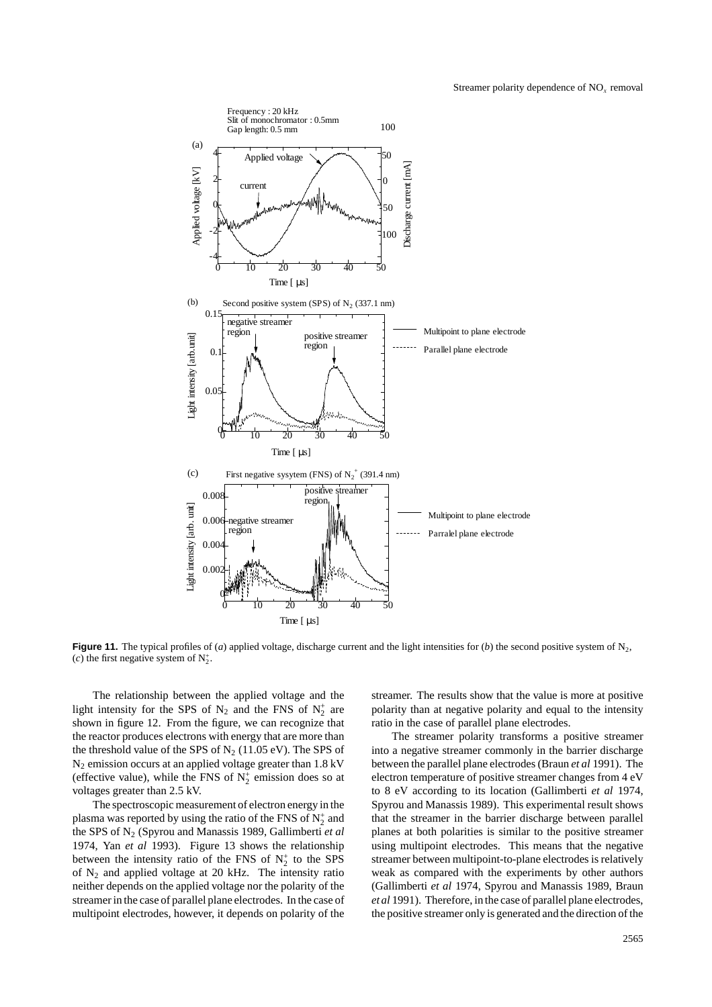

**Figure 11.** The typical profiles of (*a*) applied voltage, discharge current and the light intensities for (*b*) the second positive system of N<sub>2</sub>, (*c*) the first negative system of  $N_2^+$ .

The relationship between the applied voltage and the light intensity for the SPS of  $N_2$  and the FNS of  $N_2^+$  are shown in figure 12. From the figure, we can recognize that the reactor produces electrons with energy that are more than the threshold value of the SPS of  $N_2$  (11.05 eV). The SPS of N2 emission occurs at an applied voltage greater than 1.8 kV (effective value), while the FNS of  $N_2^+$  emission does so at voltages greater than 2.5 kV.

The spectroscopic measurement of electron energy in the plasma was reported by using the ratio of the FNS of  $N_2^+$  and the SPS of N2 (Spyrou and Manassis 1989, Gallimberti *et al* 1974, Yan *et al* 1993). Figure 13 shows the relationship between the intensity ratio of the FNS of  $N_2^+$  to the SPS of  $N_2$  and applied voltage at 20 kHz. The intensity ratio neither depends on the applied voltage nor the polarity of the streamer in the case of parallel plane electrodes. In the case of multipoint electrodes, however, it depends on polarity of the streamer. The results show that the value is more at positive polarity than at negative polarity and equal to the intensity ratio in the case of parallel plane electrodes.

The streamer polarity transforms a positive streamer into a negative streamer commonly in the barrier discharge between the parallel plane electrodes (Braun *et al* 1991). The electron temperature of positive streamer changes from 4 eV to 8 eV according to its location (Gallimberti *et al* 1974, Spyrou and Manassis 1989). This experimental result shows that the streamer in the barrier discharge between parallel planes at both polarities is similar to the positive streamer using multipoint electrodes. This means that the negative streamer between multipoint-to-plane electrodes is relatively weak as compared with the experiments by other authors (Gallimberti *et al* 1974, Spyrou and Manassis 1989, Braun *et al* 1991). Therefore, in the case of parallel plane electrodes, the positive streamer only is generated and the direction of the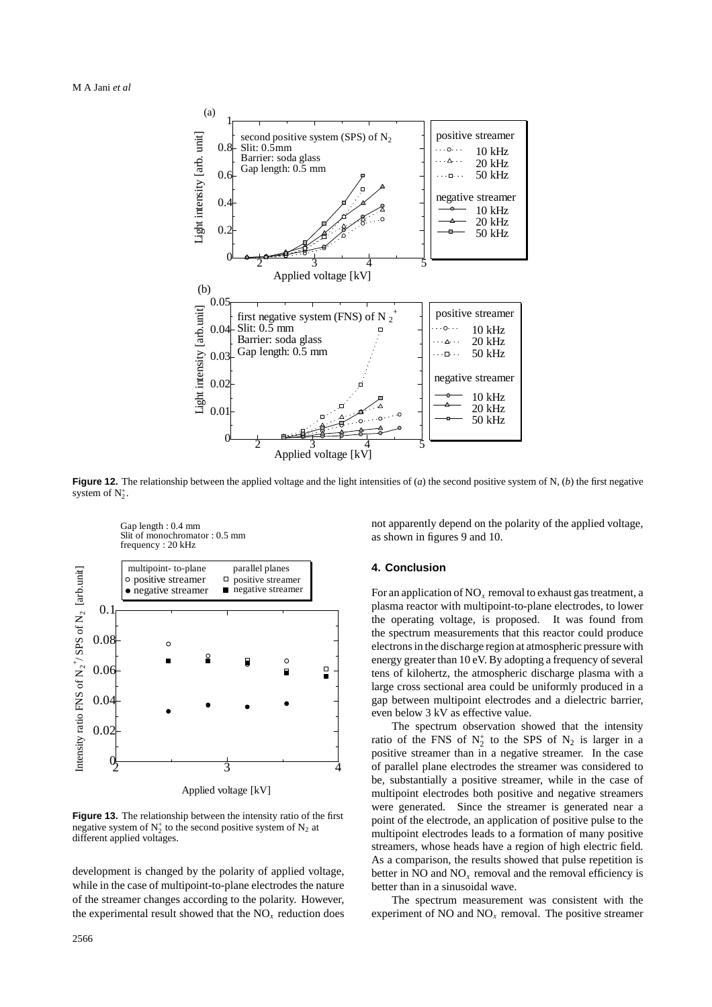

**Figure 12.** The relationship between the applied voltage and the light intensities of  $(a)$  the second positive system of N,  $(b)$  the first negative system of  $N_2^+$ .



**Figure 13.** The relationship between the intensity ratio of the first negative system of  $N_2^+$  to the second positive system of  $N_2$  at different applied voltages.

development is changed by the polarity of applied voltage, while in the case of multipoint-to-plane electrodes the nature of the streamer changes according to the polarity. However, the experimental result showed that the NO*<sup>x</sup>* reduction does not apparently depend on the polarity of the applied voltage, as shown in figures 9 and 10.

## **4. Conclusion**

For an application of  $NO<sub>x</sub>$  removal to exhaust gas treatment, a plasma reactor with multipoint-to-plane electrodes, to lower the operating voltage, is proposed. It was found from the spectrum measurements that this reactor could produce electrons in the discharge region at atmospheric pressure with energy greater than 10 eV. By adopting a frequency of several tens of kilohertz, the atmospheric discharge plasma with a large cross sectional area could be uniformly produced in a gap between multipoint electrodes and a dielectric barrier, even below 3 kV as effective value.

The spectrum observation showed that the intensity ratio of the FNS of  $N_2^+$  to the SPS of  $N_2$  is larger in a positive streamer than in a negative streamer. In the case of parallel plane electrodes the streamer was considered to be, substantially a positive streamer, while in the case of multipoint electrodes both positive and negative streamers were generated. Since the streamer is generated near a point of the electrode, an application of positive pulse to the multipoint electrodes leads to a formation of many positive streamers, whose heads have a region of high electric field. As a comparison, the results showed that pulse repetition is better in NO and  $NO<sub>x</sub>$  removal and the removal efficiency is better than in a sinusoidal wave.

The spectrum measurement was consistent with the experiment of NO and  $NO<sub>x</sub>$  removal. The positive streamer